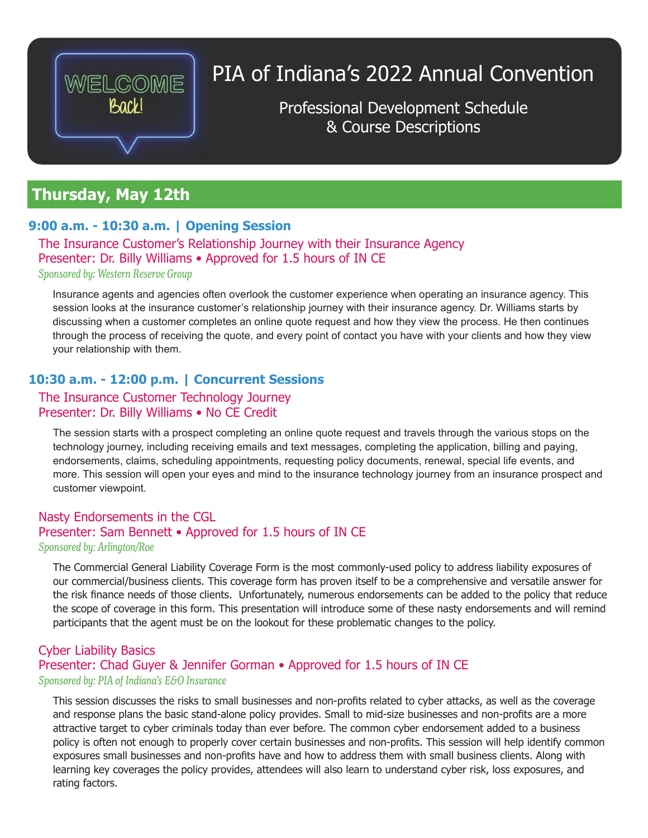

# PIA of Indiana's 2022 Annual Convention

Professional Development Schedule & Course Descriptions

# **Thursday, May 12th**

# **9:00 a.m. - 10:30 a.m. | Opening Session**

The Insurance Customer's Relationship Journey with their Insurance Agency Presenter: Dr. Billy Williams • Approved for 1.5 hours of IN CE *Sponsored by: Western Reserve Group*

Insurance agents and agencies often overlook the customer experience when operating an insurance agency. This session looks at the insurance customer's relationship journey with their insurance agency. Dr. Williams starts by discussing when a customer completes an online quote request and how they view the process. He then continues through the process of receiving the quote, and every point of contact you have with your clients and how they view your relationship with them.

# **10:30 a.m. - 12:00 p.m. | Concurrent Sessions**

# The Insurance Customer Technology Journey Presenter: Dr. Billy Williams • No CE Credit

The session starts with a prospect completing an online quote request and travels through the various stops on the technology journey, including receiving emails and text messages, completing the application, billing and paying, endorsements, claims, scheduling appointments, requesting policy documents, renewal, special life events, and more. This session will open your eyes and mind to the insurance technology journey from an insurance prospect and customer viewpoint.

# Nasty Endorsements in the CGL Presenter: Sam Bennett • Approved for 1.5 hours of IN CE

# *Sponsored by: Arlington/Roe*

The Commercial General Liability Coverage Form is the most commonly-used policy to address liability exposures of our commercial/business clients. This coverage form has proven itself to be a comprehensive and versatile answer for the risk finance needs of those clients. Unfortunately, numerous endorsements can be added to the policy that reduce the scope of coverage in this form. This presentation will introduce some of these nasty endorsements and will remind participants that the agent must be on the lookout for these problematic changes to the policy.

# Cyber Liability Basics Presenter: Chad Guyer & Jennifer Gorman • Approved for 1.5 hours of IN CE *Sponsored by: PIA of Indiana's E&O Insurance*

This session discusses the risks to small businesses and non-profits related to cyber attacks, as well as the coverage and response plans the basic stand-alone policy provides. Small to mid-size businesses and non-profits are a more attractive target to cyber criminals today than ever before. The common cyber endorsement added to a business policy is often not enough to properly cover certain businesses and non-profits. This session will help identify common exposures small businesses and non-profits have and how to address them with small business clients. Along with learning key coverages the policy provides, attendees will also learn to understand cyber risk, loss exposures, and rating factors.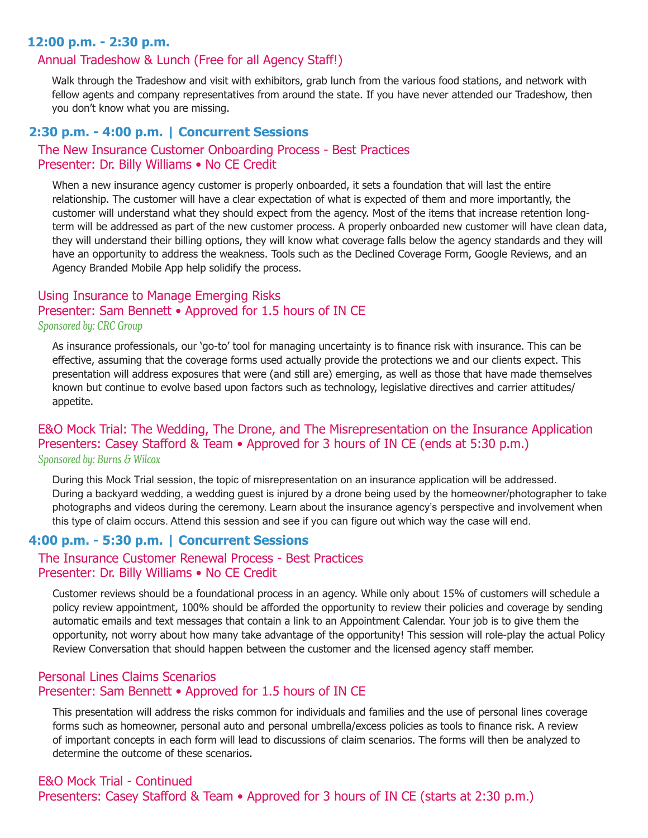# **12:00 p.m. - 2:30 p.m.**

# Annual Tradeshow & Lunch (Free for all Agency Staff!)

Walk through the Tradeshow and visit with exhibitors, grab lunch from the various food stations, and network with fellow agents and company representatives from around the state. If you have never attended our Tradeshow, then you don't know what you are missing.

#### **2:30 p.m. - 4:00 p.m. | Concurrent Sessions**

#### The New Insurance Customer Onboarding Process - Best Practices Presenter: Dr. Billy Williams • No CE Credit

When a new insurance agency customer is properly onboarded, it sets a foundation that will last the entire relationship. The customer will have a clear expectation of what is expected of them and more importantly, the customer will understand what they should expect from the agency. Most of the items that increase retention longterm will be addressed as part of the new customer process. A properly onboarded new customer will have clean data, they will understand their billing options, they will know what coverage falls below the agency standards and they will have an opportunity to address the weakness. Tools such as the Declined Coverage Form, Google Reviews, and an Agency Branded Mobile App help solidify the process.

# Using Insurance to Manage Emerging Risks Presenter: Sam Bennett • Approved for 1.5 hours of IN CE

#### *Sponsored by: CRC Group*

As insurance professionals, our 'go-to' tool for managing uncertainty is to finance risk with insurance. This can be effective, assuming that the coverage forms used actually provide the protections we and our clients expect. This presentation will address exposures that were (and still are) emerging, as well as those that have made themselves known but continue to evolve based upon factors such as technology, legislative directives and carrier attitudes/ appetite.

#### E&O Mock Trial: The Wedding, The Drone, and The Misrepresentation on the Insurance Application Presenters: Casey Stafford & Team • Approved for 3 hours of IN CE (ends at 5:30 p.m.) *Sponsored by: Burns & Wilcox*

During this Mock Trial session, the topic of misrepresentation on an insurance application will be addressed. During a backyard wedding, a wedding guest is injured by a drone being used by the homeowner/photographer to take photographs and videos during the ceremony. Learn about the insurance agency's perspective and involvement when this type of claim occurs. Attend this session and see if you can figure out which way the case will end.

# **4:00 p.m. - 5:30 p.m. | Concurrent Sessions**

# The Insurance Customer Renewal Process - Best Practices Presenter: Dr. Billy Williams • No CE Credit

Customer reviews should be a foundational process in an agency. While only about 15% of customers will schedule a policy review appointment, 100% should be afforded the opportunity to review their policies and coverage by sending automatic emails and text messages that contain a link to an Appointment Calendar. Your job is to give them the opportunity, not worry about how many take advantage of the opportunity! This session will role-play the actual Policy Review Conversation that should happen between the customer and the licensed agency staff member.

# Personal Lines Claims Scenarios Presenter: Sam Bennett • Approved for 1.5 hours of IN CE

This presentation will address the risks common for individuals and families and the use of personal lines coverage forms such as homeowner, personal auto and personal umbrella/excess policies as tools to finance risk. A review of important concepts in each form will lead to discussions of claim scenarios. The forms will then be analyzed to determine the outcome of these scenarios.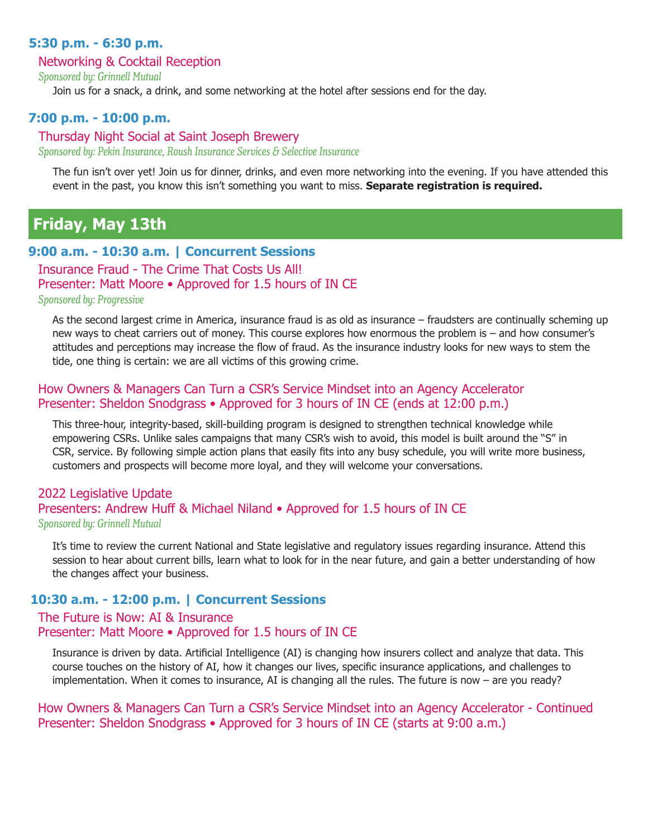# **5:30 p.m. - 6:30 p.m.**

#### Networking & Cocktail Reception

*Sponsored by: Grinnell Mutual*

Join us for a snack, a drink, and some networking at the hotel after sessions end for the day.

# **7:00 p.m. - 10:00 p.m.**

# Thursday Night Social at Saint Joseph Brewery

*Sponsored by: Pekin Insurance, Roush Insurance Services & Selective Insurance*

The fun isn't over yet! Join us for dinner, drinks, and even more networking into the evening. If you have attended this event in the past, you know this isn't something you want to miss. **Separate registration is required.**

# **Friday, May 13th**

#### **9:00 a.m. - 10:30 a.m. | Concurrent Sessions**

Insurance Fraud - The Crime That Costs Us All! Presenter: Matt Moore • Approved for 1.5 hours of IN CE

*Sponsored by: Progressive*

As the second largest crime in America, insurance fraud is as old as insurance – fraudsters are continually scheming up new ways to cheat carriers out of money. This course explores how enormous the problem is – and how consumer's attitudes and perceptions may increase the flow of fraud. As the insurance industry looks for new ways to stem the tide, one thing is certain: we are all victims of this growing crime.

#### How Owners & Managers Can Turn a CSR's Service Mindset into an Agency Accelerator Presenter: Sheldon Snodgrass • Approved for 3 hours of IN CE (ends at 12:00 p.m.)

This three-hour, integrity-based, skill-building program is designed to strengthen technical knowledge while empowering CSRs. Unlike sales campaigns that many CSR's wish to avoid, this model is built around the "S" in CSR, service. By following simple action plans that easily fits into any busy schedule, you will write more business, customers and prospects will become more loyal, and they will welcome your conversations.

# 2022 Legislative Update Presenters: Andrew Huff & Michael Niland • Approved for 1.5 hours of IN CE *Sponsored by: Grinnell Mutual*

It's time to review the current National and State legislative and regulatory issues regarding insurance. Attend this session to hear about current bills, learn what to look for in the near future, and gain a better understanding of how the changes affect your business.

# **10:30 a.m. - 12:00 p.m. | Concurrent Sessions**

# The Future is Now: AI & Insurance Presenter: Matt Moore • Approved for 1.5 hours of IN CE

Insurance is driven by data. Artificial Intelligence (AI) is changing how insurers collect and analyze that data. This course touches on the history of AI, how it changes our lives, specific insurance applications, and challenges to implementation. When it comes to insurance, AI is changing all the rules. The future is now – are you ready?

How Owners & Managers Can Turn a CSR's Service Mindset into an Agency Accelerator - Continued Presenter: Sheldon Snodgrass • Approved for 3 hours of IN CE (starts at 9:00 a.m.)